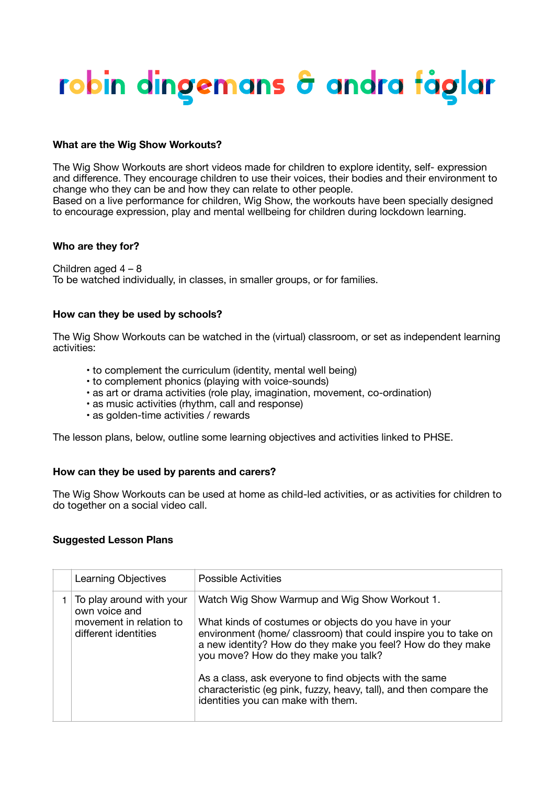# <u>robin dingemans & andra fåglar</u>

### **What are the Wig Show Workouts?**

The Wig Show Workouts are short videos made for children to explore identity, self- expression and difference. They encourage children to use their voices, their bodies and their environment to change who they can be and how they can relate to other people. Based on a live performance for children, Wig Show, the workouts have been specially designed to encourage expression, play and mental wellbeing for children during lockdown learning.

#### **Who are they for?**

Children aged 4 – 8 To be watched individually, in classes, in smaller groups, or for families.

### **How can they be used by schools?**

The Wig Show Workouts can be watched in the (virtual) classroom, or set as independent learning activities:

- to complement the curriculum (identity, mental well being)
- to complement phonics (playing with voice-sounds)
- as art or drama activities (role play, imagination, movement, co-ordination)
- as music activities (rhythm, call and response)
- as golden-time activities / rewards

The lesson plans, below, outline some learning objectives and activities linked to PHSE.

## **How can they be used by parents and carers?**

The Wig Show Workouts can be used at home as child-led activities, or as activities for children to do together on a social video call.

## **Suggested Lesson Plans**

| Learning Objectives                                                                          | <b>Possible Activities</b>                                                                                                                                                                                                                                                                                                                                                                                                                             |
|----------------------------------------------------------------------------------------------|--------------------------------------------------------------------------------------------------------------------------------------------------------------------------------------------------------------------------------------------------------------------------------------------------------------------------------------------------------------------------------------------------------------------------------------------------------|
| To play around with your<br>own voice and<br>movement in relation to<br>different identities | Watch Wig Show Warmup and Wig Show Workout 1.<br>What kinds of costumes or objects do you have in your<br>environment (home/ classroom) that could inspire you to take on<br>a new identity? How do they make you feel? How do they make<br>you move? How do they make you talk?<br>As a class, ask everyone to find objects with the same<br>characteristic (eg pink, fuzzy, heavy, tall), and then compare the<br>identities you can make with them. |